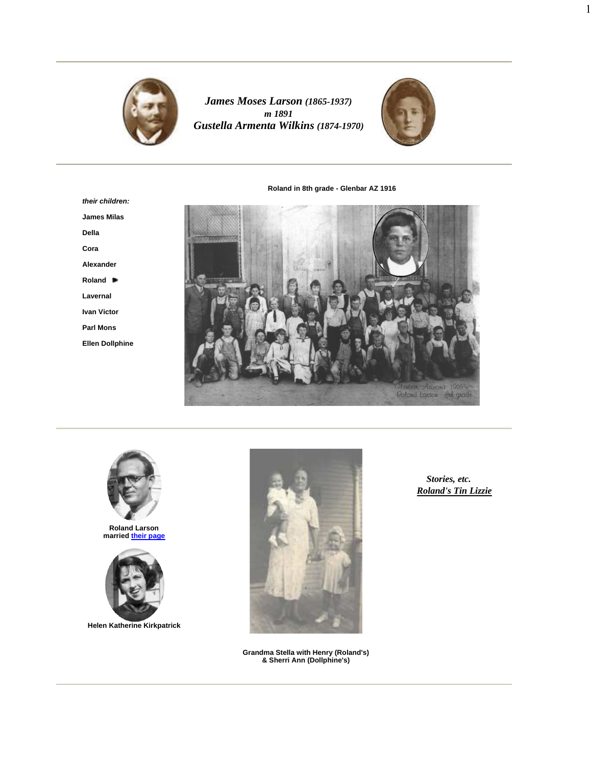

*James Moses Larson (1865-1937) m 1891 Gustella Armenta Wilkins (1874-1970)*



1

**Roland in 8th grade - Glenbar AZ 1916**

**their children: James Milas Della Cora Alexander Roland Lavernal Ivan Victor Parl Mons Ellen Dollphine**





**Roland Larson married their page**



**Helen Katherine Kirkpatrick**



**Grandma Stella with Henry (Roland's) & Sherri Ann (Dollphine's)**

*Stories, etc. Roland's Tin Lizzie*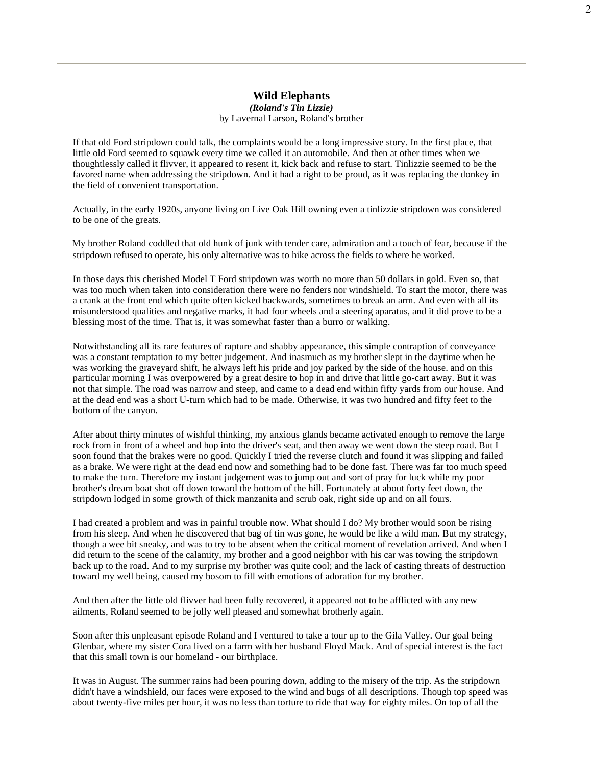## **Wild Elephants**

*(Roland's Tin Lizzie)* by Lavernal Larson, Roland's brother

If that old Ford stripdown could talk, the complaints would be a long impressive story. In the first place, that little old Ford seemed to squawk every time we called it an automobile. And then at other times when we thoughtlessly called it flivver, it appeared to resent it, kick back and refuse to start. Tinlizzie seemed to be the favored name when addressing the stripdown. And it had a right to be proud, as it was replacing the donkey in the field of convenient transportation.

Actually, in the early 1920s, anyone living on Live Oak Hill owning even a tinlizzie stripdown was considered to be one of the greats.

My brother Roland coddled that old hunk of junk with tender care, admiration and a touch of fear, because if the stripdown refused to operate, his only alternative was to hike across the fields to where he worked.

In those days this cherished Model T Ford stripdown was worth no more than 50 dollars in gold. Even so, that was too much when taken into consideration there were no fenders nor windshield. To start the motor, there was a crank at the front end which quite often kicked backwards, sometimes to break an arm. And even with all its misunderstood qualities and negative marks, it had four wheels and a steering aparatus, and it did prove to be a blessing most of the time. That is, it was somewhat faster than a burro or walking.

Notwithstanding all its rare features of rapture and shabby appearance, this simple contraption of conveyance was a constant temptation to my better judgement. And inasmuch as my brother slept in the daytime when he was working the graveyard shift, he always left his pride and joy parked by the side of the house. and on this particular morning I was overpowered by a great desire to hop in and drive that little go-cart away. But it was not that simple. The road was narrow and steep, and came to a dead end within fifty yards from our house. And at the dead end was a short U-turn which had to be made. Otherwise, it was two hundred and fifty feet to the bottom of the canyon.

After about thirty minutes of wishful thinking, my anxious glands became activated enough to remove the large rock from in front of a wheel and hop into the driver's seat, and then away we went down the steep road. But  $\overline{I}$ soon found that the brakes were no good. Quickly I tried the reverse clutch and found it was slipping and failed as a brake. We were right at the dead end now and something had to be done fast. There was far too much speed to make the turn. Therefore my instant judgement was to jump out and sort of pray for luck while my poor brother's dream boat shot off down toward the bottom of the hill. Fortunately at about forty feet down, the stripdown lodged in some growth of thick manzanita and scrub oak, right side up and on all fours.

I had created a problem and was in painful trouble now. What should I do? My brother would soon be rising from his sleep. And when he discovered that bag of tin was gone, he would be like a wild man. But my strategy, though a wee bit sneaky, and was to try to be absent when the critical moment of revelation arrived. And when I did return to the scene of the calamity, my brother and a good neighbor with his car was towing the stripdown back up to the road. And to my surprise my brother was quite cool; and the lack of casting threats of destruction toward my well being, caused my bosom to fill with emotions of adoration for my brother.

And then after the little old flivver had been fully recovered, it appeared not to be afflicted with any new ailments, Roland seemed to be jolly well pleased and somewhat brotherly again.

Soon after this unpleasant episode Roland and I ventured to take a tour up to the Gila Valley. Our goal being Glenbar, where my sister Cora lived on a farm with her husband Floyd Mack. And of special interest is the fact that this small town is our homeland - our birthplace.

It was in August. The summer rains had been pouring down, adding to the misery of the trip. As the stripdown didn't have a windshield, our faces were exposed to the wind and bugs of all descriptions. Though top speed was about twenty-five miles per hour, it was no less than torture to ride that way for eighty miles. On top of all the